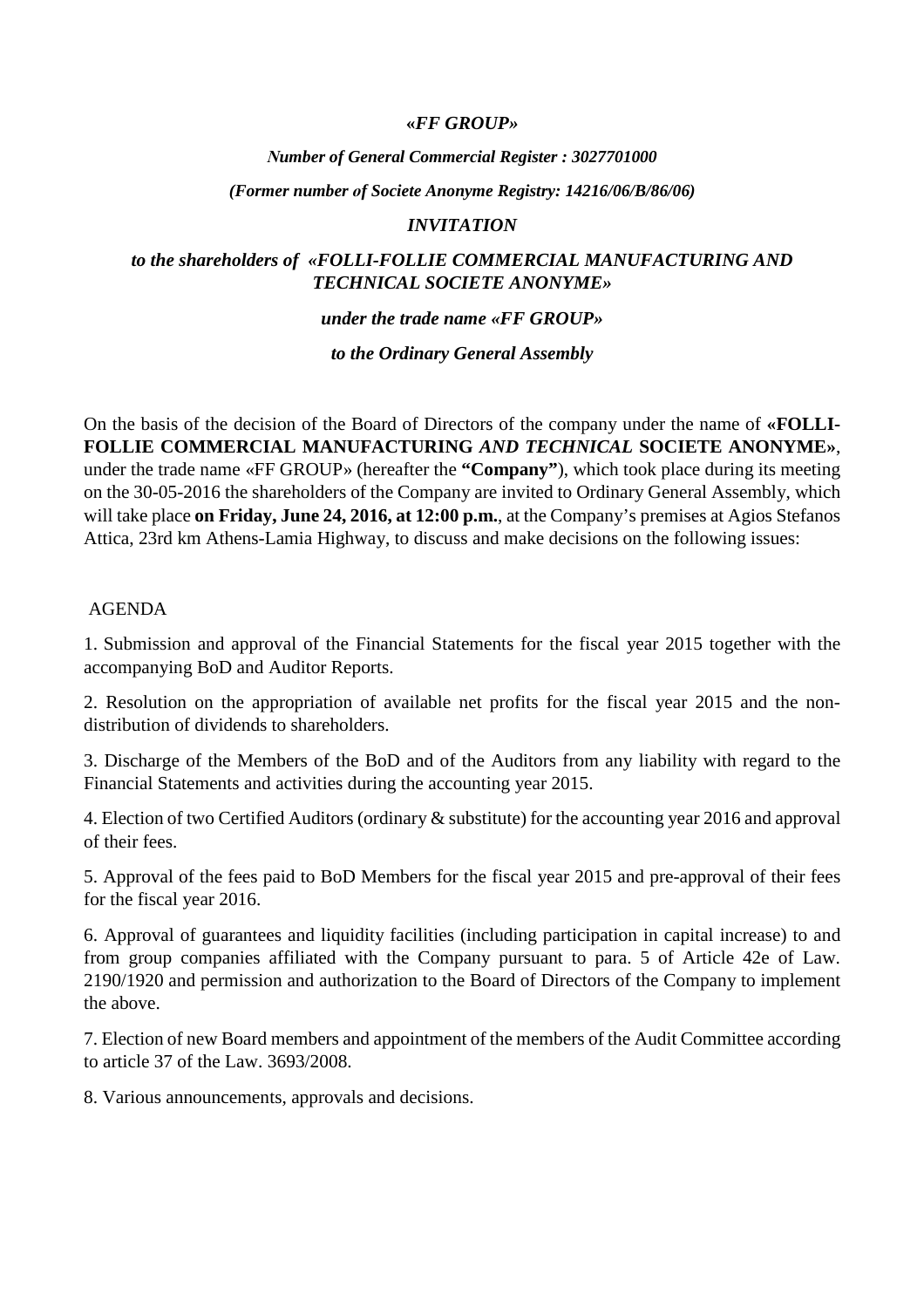## **«***FF GROUP»*

#### *Νumber of General Commercial Register : 3027701000*

#### *(Former number οf Societe Anonyme Registry: 14216/06/B/86/06)*

#### *INVITATION*

## *to the shareholders of «FOLLI-FOLLIE COMMERCIAL MANUFACTURING AND TECHNICAL SOCIETE ANONYME»*

#### *under the trade name «FF GROUP»*

#### *to the Ordinary General Assembly*

On the basis of the decision of the Board of Directors of the company under the name of **«FOLLI-FOLLIE COMMERCIAL MANUFACTURING** *AND TECHNICAL* **SOCIETE ANONYME»**, under the trade name «FF GROUP» (hereafter the **"Company"**), which took place during its meeting on the 30-05-2016 the shareholders of the Company are invited to Ordinary General Assembly, which will take place **on Friday, June 24, 2016, at 12:00 p.m.**, at the Company's premises at Agios Stefanos Attica, 23rd km Athens-Lamia Highway, to discuss and make decisions on the following issues:

#### AGENDA

1. Submission and approval of the Financial Statements for the fiscal year 2015 together with the accompanying BoD and Auditor Reports.

2. Resolution on the appropriation of available net profits for the fiscal year 2015 and the nondistribution of dividends to shareholders.

3. Discharge of the Members of the BoD and of the Auditors from any liability with regard to the Financial Statements and activities during the accounting year 2015.

4. Election of two Certified Auditors (ordinary & substitute) for the accounting year 2016 and approval of their fees.

5. Approval of the fees paid to BoD Members for the fiscal year 2015 and pre-approval of their fees for the fiscal year 2016.

6. Approval of guarantees and liquidity facilities (including participation in capital increase) to and from group companies affiliated with the Company pursuant to para. 5 of Article 42e of Law. 2190/1920 and permission and authorization to the Board of Directors of the Company to implement the above.

7. Election of new Board members and appointment of the members of the Audit Committee according to article 37 of the Law. 3693/2008.

8. Various announcements, approvals and decisions.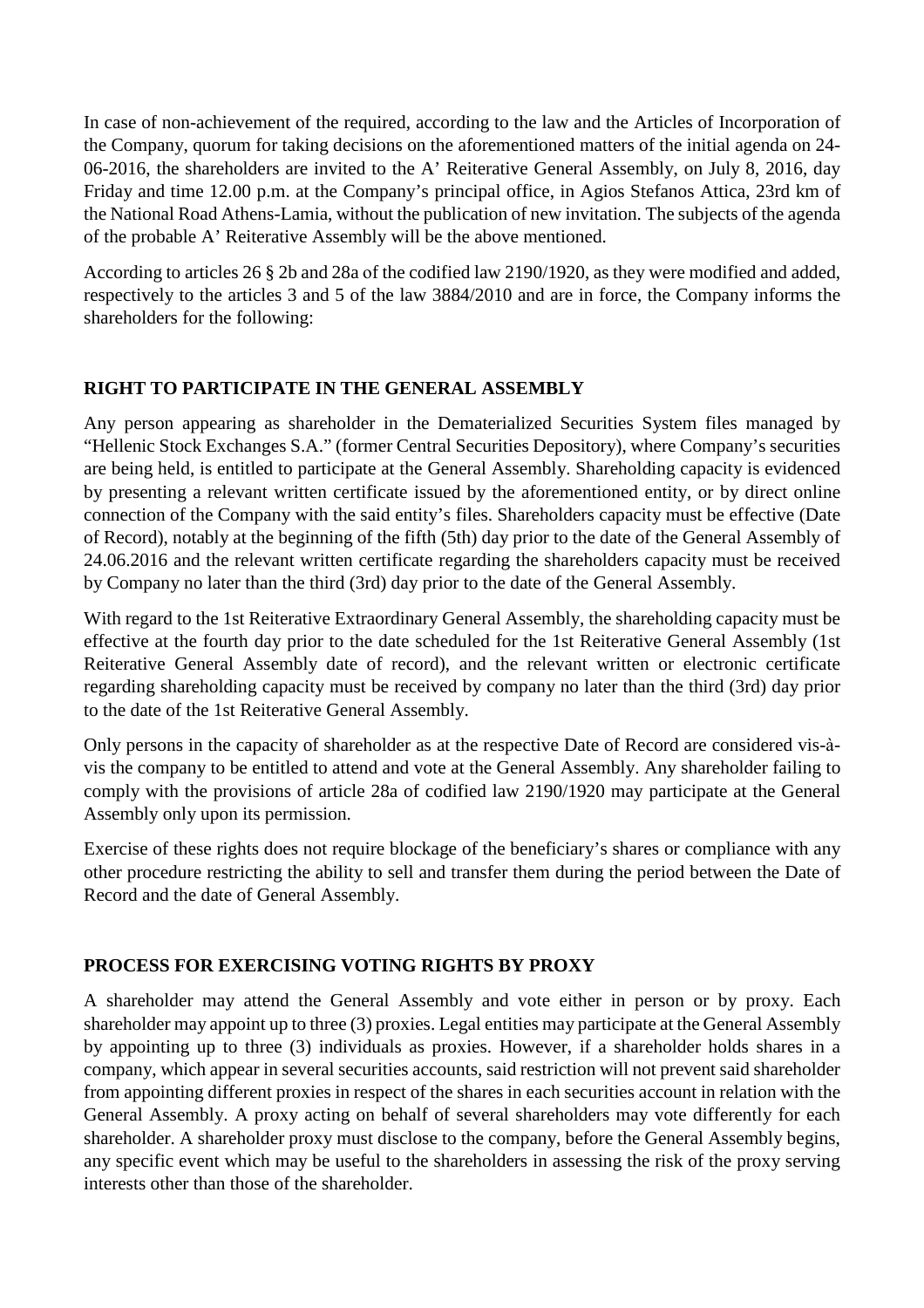In case of non-achievement οf the required, according to the law and the Articles of Incorporation of the Company, quorum for taking decisions on the aforementioned matters of the initial agenda on 24- 06-2016, the shareholders are invited to the A' Reiterative General Assembly, on July 8, 2016, day Friday and time 12.00 p.m. at the Company's principal office, in Agios Stefanos Attica, 23rd km of the National Road Athens-Lamia, without the publication of new invitation. The subjects of the agenda of the probable A' Reiterative Assembly will be the above mentioned.

According to articles 26 § 2b and 28a οf the codified law 2190/1920, as they were modified and added, respectively to the articles 3 and 5 of the law 3884/2010 and are in force, the Company informs the shareholders for the following:

# **RIGHT TO PARTICIPATE IN THE GENERAL ASSEMBLY**

Any person appearing as shareholder in the Dematerialized Securities System files managed by "Hellenic Stock Exchanges S.A." (former Central Securities Depository), where Company's securities are being held, is entitled to participate at the General Assembly. Shareholding capacity is evidenced by presenting a relevant written certificate issued by the aforementioned entity, or by direct online connection of the Company with the said entity's files. Shareholders capacity must be effective (Date of Record), notably at the beginning of the fifth (5th) day prior to the date of the General Assembly of 24.06.2016 and the relevant written certificate regarding the shareholders capacity must be received by Company no later than the third (3rd) day prior to the date of the General Assembly.

With regard to the 1st Reiterative Extraordinary General Assembly, the shareholding capacity must be effective at the fourth day prior to the date scheduled for the 1st Reiterative General Assembly (1st Reiterative General Assembly date of record), and the relevant written or electronic certificate regarding shareholding capacity must be received by company no later than the third (3rd) day prior to the date of the 1st Reiterative General Assembly.

Only persons in the capacity of shareholder as at the respective Date of Record are considered vis-àvis the company to be entitled to attend and vote at the General Assembly. Any shareholder failing to comply with the provisions of article 28a of codified law 2190/1920 may participate at the General Assembly only upon its permission.

Exercise of these rights does not require blockage of the beneficiary's shares or compliance with any other procedure restricting the ability to sell and transfer them during the period between the Date of Record and the date of General Assembly.

# **PROCESS FOR EXERCISING VOTING RIGHTS BY PROXY**

A shareholder may attend the General Assembly and vote either in person or by proxy. Each shareholder may appoint up to three (3) proxies. Legal entities may participate at the General Assembly by appointing up to three (3) individuals as proxies. However, if a shareholder holds shares in a company, which appear in several securities accounts, said restriction will not prevent said shareholder from appointing different proxies in respect of the shares in each securities account in relation with the General Assembly. A proxy acting on behalf of several shareholders may vote differently for each shareholder. A shareholder proxy must disclose to the company, before the General Assembly begins, any specific event which may be useful to the shareholders in assessing the risk of the proxy serving interests other than those of the shareholder.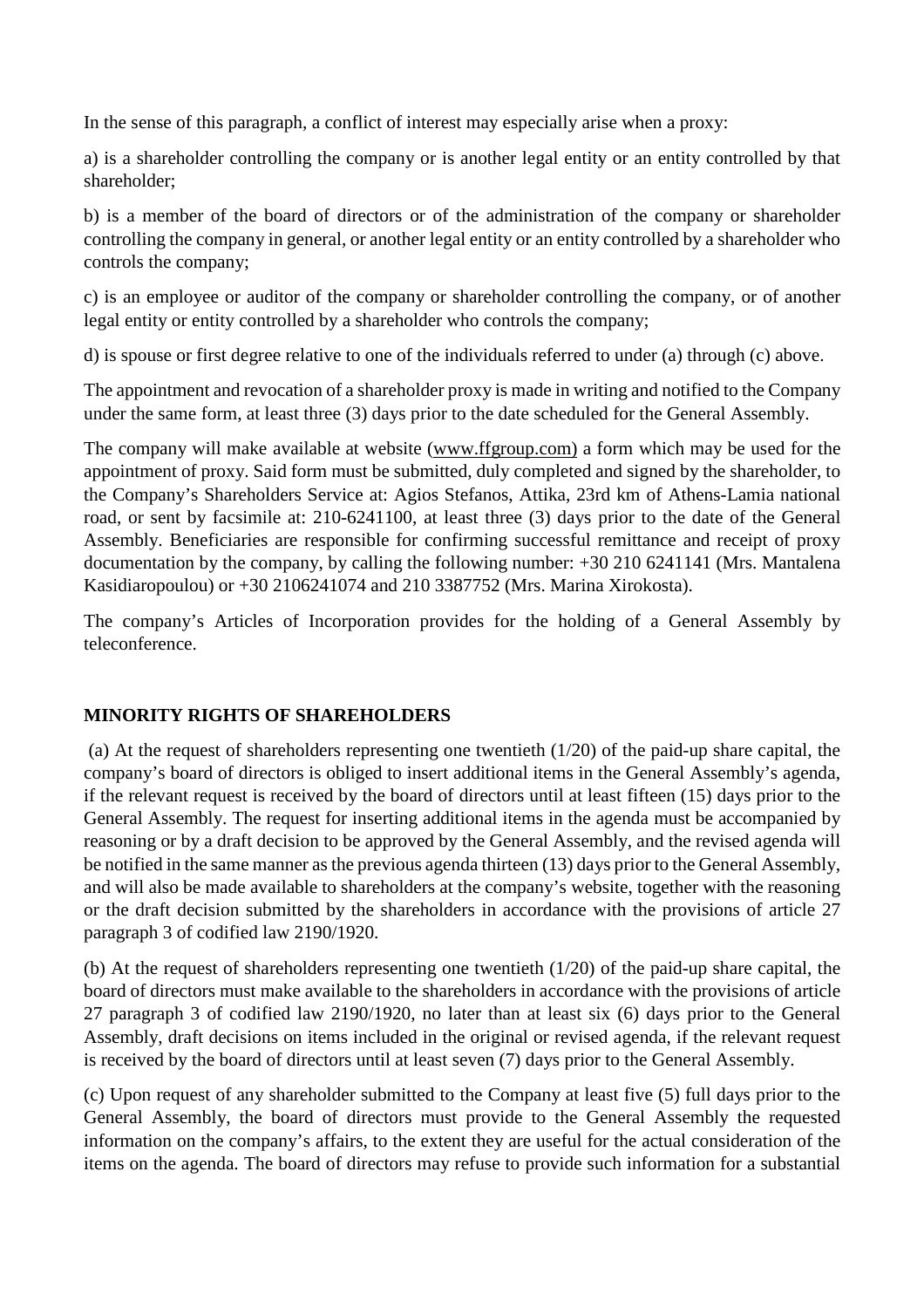In the sense of this paragraph, a conflict of interest may especially arise when a proxy:

a) is a shareholder controlling the company or is another legal entity or an entity controlled by that shareholder;

b) is a member of the board of directors or of the administration of the company or shareholder controlling the company in general, or another legal entity or an entity controlled by a shareholder who controls the company;

c) is an employee or auditor of the company or shareholder controlling the company, or of another legal entity or entity controlled by a shareholder who controls the company;

d) is spouse or first degree relative to one of the individuals referred to under (a) through (c) above.

The appointment and revocation of a shareholder proxy is made in writing and notified to the Company under the same form, at least three (3) days prior to the date scheduled for the General Assembly.

The company will make available at website [\(www.ffgroup.com\)](http://www.ffgroup.com)) a form which may be used for the appointment of proxy. Said form must be submitted, duly completed and signed by the shareholder, to the Company's Shareholders Service at: Agios Stefanos, Attika, 23rd km of Athens-Lamia national road, or sent by facsimile at: 210-6241100, at least three (3) days prior to the date of the General Assembly. Beneficiaries are responsible for confirming successful remittance and receipt of proxy documentation by the company, by calling the following number: +30 210 6241141 (Mrs. Mantalena Kasidiaropoulou) or +30 2106241074 and 210 3387752 (Mrs. Marina Xirokosta).

The company's Articles of Incorporation provides for the holding of a General Assembly by teleconference.

## **MINORITY RIGHTS OF SHAREHOLDERS**

(a) At the request of shareholders representing one twentieth (1/20) of the paid-up share capital, the company's board of directors is obliged to insert additional items in the General Assembly's agenda, if the relevant request is received by the board of directors until at least fifteen (15) days prior to the General Assembly. The request for inserting additional items in the agenda must be accompanied by reasoning or by a draft decision to be approved by the General Assembly, and the revised agenda will be notified in the same manner asthe previous agenda thirteen (13) days prior to the General Assembly, and will also be made available to shareholders at the company's website, together with the reasoning or the draft decision submitted by the shareholders in accordance with the provisions of article 27 paragraph 3 of codified law 2190/1920.

(b) At the request of shareholders representing one twentieth (1/20) of the paid-up share capital, the board of directors must make available to the shareholders in accordance with the provisions of article 27 paragraph 3 of codified law 2190/1920, no later than at least six (6) days prior to the General Assembly, draft decisions on items included in the original or revised agenda, if the relevant request is received by the board of directors until at least seven (7) days prior to the General Assembly.

(c) Upon request of any shareholder submitted to the Company at least five (5) full days prior to the General Assembly, the board of directors must provide to the General Assembly the requested information on the company's affairs, to the extent they are useful for the actual consideration of the items on the agenda. The board of directors may refuse to provide such information for a substantial